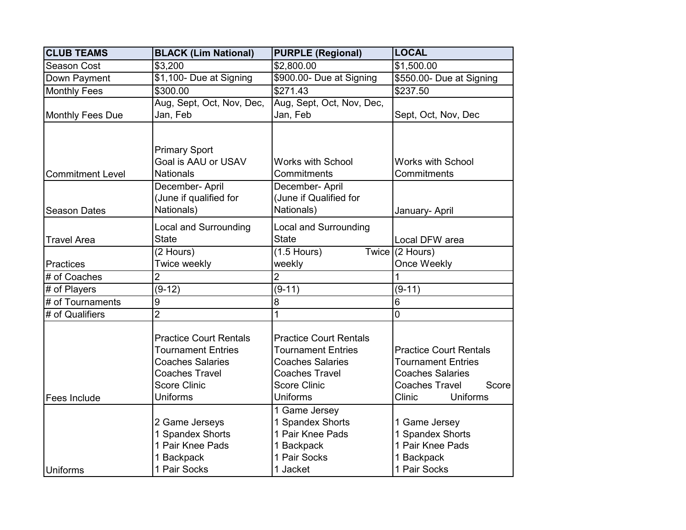| <b>CLUB TEAMS</b>       | <b>BLACK (Lim National)</b>           | <b>PURPLE (Regional)</b>              | <b>LOCAL</b>                   |
|-------------------------|---------------------------------------|---------------------------------------|--------------------------------|
| Season Cost             | \$3,200                               | \$2,800.00                            | \$1,500.00                     |
| Down Payment            | \$1,100- Due at Signing               | \$900.00- Due at Signing              | \$550.00- Due at Signing       |
| <b>Monthly Fees</b>     | \$300.00                              | \$271.43                              | \$237.50                       |
| Monthly Fees Due        | Aug, Sept, Oct, Nov, Dec,<br>Jan, Feb | Aug, Sept, Oct, Nov, Dec,<br>Jan, Feb | Sept, Oct, Nov, Dec            |
|                         |                                       |                                       |                                |
|                         | <b>Primary Sport</b>                  |                                       |                                |
|                         | Goal is AAU or USAV                   | <b>Works with School</b>              | <b>Works with School</b>       |
| <b>Commitment Level</b> | <b>Nationals</b>                      | Commitments                           | Commitments                    |
|                         | December- April                       | December- April                       |                                |
|                         | (June if qualified for                | (June if Qualified for                |                                |
| <b>Season Dates</b>     | Nationals)                            | Nationals)                            | January- April                 |
|                         | <b>Local and Surrounding</b>          | <b>Local and Surrounding</b>          |                                |
| <b>Travel Area</b>      | <b>State</b>                          | <b>State</b>                          | Local DFW area                 |
|                         | $\overline{(2 \text{ Hours})}$        | $(1.5$ Hours)                         | Twice (2 Hours)                |
| <b>Practices</b>        | Twice weekly                          | weekly                                | Once Weekly                    |
| # of Coaches            | $\overline{2}$                        | $\overline{2}$                        | 1                              |
| # of Players            | $(9-12)$                              | $(9-11)$                              | $(9-11)$                       |
| # of Tournaments        | $\boldsymbol{9}$                      | 8                                     | $6\phantom{1}6$                |
| # of Qualifiers         | $\overline{2}$                        | 1                                     | $\overline{0}$                 |
|                         |                                       |                                       |                                |
|                         | <b>Practice Court Rentals</b>         | <b>Practice Court Rentals</b>         |                                |
|                         | <b>Tournament Entries</b>             | <b>Tournament Entries</b>             | <b>Practice Court Rentals</b>  |
|                         | <b>Coaches Salaries</b>               | <b>Coaches Salaries</b>               | <b>Tournament Entries</b>      |
|                         | <b>Coaches Travel</b>                 | <b>Coaches Travel</b>                 | <b>Coaches Salaries</b>        |
|                         | <b>Score Clinic</b>                   | <b>Score Clinic</b>                   | <b>Coaches Travel</b><br>Score |
| Fees Include            | <b>Uniforms</b>                       | <b>Uniforms</b>                       | <b>Clinic</b><br>Uniforms      |
|                         |                                       | 1 Game Jersey                         |                                |
|                         | 2 Game Jerseys                        | 1 Spandex Shorts                      | 1 Game Jersey                  |
|                         | 1 Spandex Shorts                      | 1 Pair Knee Pads                      | 1 Spandex Shorts               |
|                         | 1 Pair Knee Pads                      | 1 Backpack                            | 1 Pair Knee Pads               |
|                         | 1 Backpack                            | 1 Pair Socks                          | 1 Backpack                     |
| <b>Uniforms</b>         | 1 Pair Socks                          | 1 Jacket                              | 1 Pair Socks                   |